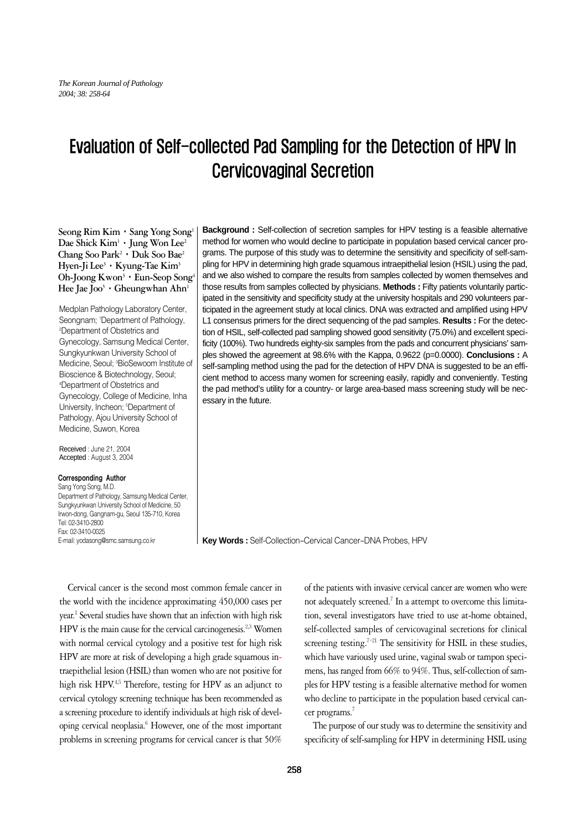# Evaluation of Self-collected Pad Sampling for the Detection of HPV In Cervicovaginal Secretion

**Seong Rim Kim**∙**Sang Yong Song1 Dae Shick Kim1** ∙**Jung Won Lee2 Chang Soo Park2** ∙**Duk Soo Bae2 Hyen-Ji Lee3** ∙**Kyung-Tae Kim3 Oh-Joong Kwon3** ∙**Eun-Seop Song4 Hee Jae J** $\mathrm{oo}^5$  **∙ Gheungwhan Ahn<sup>1</sup>** 

Medplan Pathology Laboratory Center, Seongnam; 1 Department of Pathology, 2 Department of Obstetrics and Gynecology, Samsung Medical Center, Sungkyunkwan University School of Medicine, Seoul; <sup>3</sup>BioSewoom Institute of Bioscience & Biotechnology, Seoul; 4 Department of Obstetrics and Gynecology, College of Medicine, Inha University, Incheon; <sup>5</sup>Department of Pathology, Ajou University School of Medicine, Suwon, Korea

Received : June 21, 2004 Accepted : August 3, 2004

#### Corresponding Author

Sang Yong Song, M.D. Department of Pathology, Samsung Medical Center, Sungkyunkwan University School of Medicine, 50 Irwon-dong, Gangnam-gu, Seoul 135-710, Korea Tel: 02-3410-2800 Fax: 02-3410-0025 E-mail: yodasong@smc.samsung.co.kr

**Background :** Self-collection of secretion samples for HPV testing is a feasible alternative method for women who would decline to participate in population based cervical cancer programs. The purpose of this study was to determine the sensitivity and specificity of self-sampling for HPV in determining high grade squamous intraepithelial lesion (HSIL) using the pad, and we also wished to compare the results from samples collected by women themselves and those results from samples collected by physicians. **Methods :** Fifty patients voluntarily participated in the sensitivity and specificity study at the university hospitals and 290 volunteers participated in the agreement study at local clinics. DNA was extracted and amplified using HPV L1 consensus primers for the direct sequencing of the pad samples. **Results :** For the detection of HSIL, self-collected pad sampling showed good sensitivity (75.0%) and excellent specificity (100%). Two hundreds eighty-six samples from the pads and concurrent physicians' samples showed the agreement at 98.6% with the Kappa, 0.9622 (p=0.0000). **Conclusions :** A self-sampling method using the pad for the detection of HPV DNA is suggested to be an efficient method to access many women for screening easily, rapidly and conveniently. Testing the pad method's utility for a country- or large area-based mass screening study will be necessary in the future.

**Key Words :** Self-Collection-Cervical Cancer-DNA Probes, HPV

Cervical cancer is the second most common female cancer in the world with the incidence approximating 450,000 cases per year.<sup>1</sup> Several studies have shown that an infection with high risk HPV is the main cause for the cervical carcinogenesis.<sup>2,3</sup> Women with normal cervical cytology and a positive test for high risk HPV are more at risk of developing a high grade squamous intraepithelial lesion (HSIL) than women who are not positive for high risk HPV.<sup>4,5</sup> Therefore, testing for HPV as an adjunct to cervical cytology screening technique has been recommended as a screening procedure to identify individuals at high risk of developing cervical neoplasia.<sup>6</sup> However, one of the most important problems in screening programs for cervical cancer is that 50%

of the patients with invasive cervical cancer are women who were not adequately screened.<sup>7</sup> In a attempt to overcome this limitation, several investigators have tried to use at-home obtained, self-collected samples of cervicovaginal secretions for clinical screening testing.<sup> $7-21$ </sup> The sensitivity for HSIL in these studies, which have variously used urine, vaginal swab or tampon specimens, has ranged from 66% to 94%. Thus, self-collection of samples for HPV testing is a feasible alternative method for women who decline to participate in the population based cervical cancer programs.<sup>7</sup>

The purpose of our study was to determine the sensitivity and specificity of self-sampling for HPV in determining HSIL using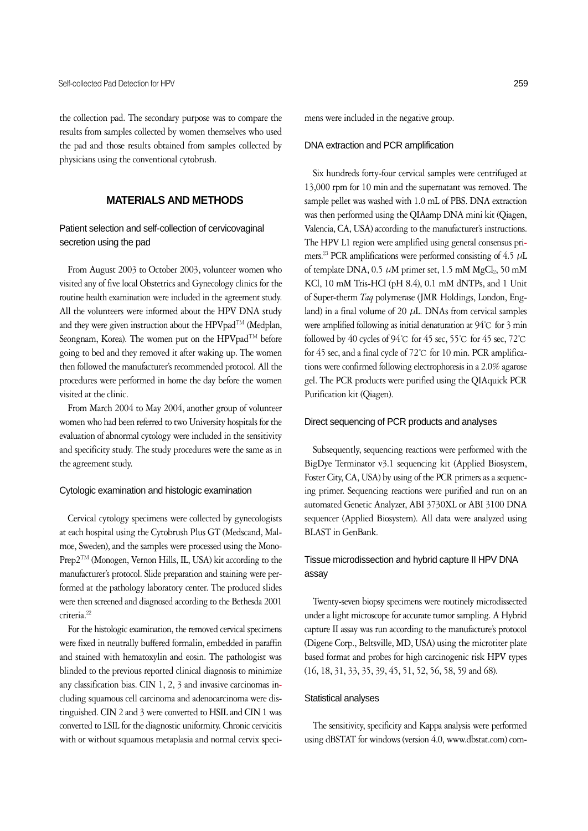the collection pad. The secondary purpose was to compare the results from samples collected by women themselves who used the pad and those results obtained from samples collected by physicians using the conventional cytobrush.

# **MATERIALS AND METHODS**

# Patient selection and self-collection of cervicovaginal secretion using the pad

From August 2003 to October 2003, volunteer women who visited any of five local Obstetrics and Gynecology clinics for the routine health examination were included in the agreement study. All the volunteers were informed about the HPV DNA study and they were given instruction about the HPVpad<sup>TM</sup> (Medplan, Seongnam, Korea). The women put on the HPVpad<sup>TM</sup> before going to bed and they removed it after waking up. The women then followed the manufacturer's recommended protocol. All the procedures were performed in home the day before the women visited at the clinic.

From March 2004 to May 2004, another group of volunteer women who had been referred to two University hospitals for the evaluation of abnormal cytology were included in the sensitivity and specificity study. The study procedures were the same as in the agreement study.

## Cytologic examination and histologic examination

Cervical cytology specimens were collected by gynecologists at each hospital using the Cytobrush Plus GT (Medscand, Malmoe, Sweden), and the samples were processed using the Mono-Prep2TM (Monogen, Vernon Hills, IL, USA) kit according to the manufacturer's protocol. Slide preparation and staining were performed at the pathology laboratory center. The produced slides were then screened and diagnosed according to the Bethesda 2001 criteria.<sup>22</sup>

For the histologic examination, the removed cervical specimens were fixed in neutrally buffered formalin, embedded in paraffin and stained with hematoxylin and eosin. The pathologist was blinded to the previous reported clinical diagnosis to minimize any classification bias. CIN 1, 2, 3 and invasive carcinomas including squamous cell carcinoma and adenocarcinoma were distinguished. CIN 2 and 3 were converted to HSIL and CIN 1 was converted to LSIL for the diagnostic uniformity. Chronic cervicitis with or without squamous metaplasia and normal cervix specimens were included in the negative group.

#### DNA extraction and PCR amplification

Six hundreds forty-four cervical samples were centrifuged at 13,000 rpm for 10 min and the supernatant was removed. The sample pellet was washed with 1.0 mL of PBS. DNA extraction was then performed using the QIAamp DNA mini kit (Qiagen, Valencia, CA, USA) according to the manufacturer's instructions. The HPV L1 region were amplified using general consensus primers.<sup>23</sup> PCR amplifications were performed consisting of 4.5  $\mu$ L of template DNA,  $0.5 \mu M$  primer set,  $1.5 \text{ mM } MgCl_2$ ,  $50 \text{ mM}$ KCl, 10 mM Tris-HCl (pH 8.4), 0.1 mM dNTPs, and 1 Unit of Super-therm *Taq* polymerase (JMR Holdings, London, England) in a final volume of 20  $\mu$ L. DNAs from cervical samples were amplified following as initial denaturation at 94℃ for 3 min followed by 40 cycles of 94℃ for 45 sec, 55℃ for 45 sec, 72℃ for 45 sec, and a final cycle of 72℃ for 10 min. PCR amplifications were confirmed following electrophoresis in a 2.0% agarose gel. The PCR products were purified using the QIAquick PCR Purification kit (Qiagen).

## Direct sequencing of PCR products and analyses

Subsequently, sequencing reactions were performed with the BigDye Terminator v3.1 sequencing kit (Applied Biosystem, Foster City, CA, USA) by using of the PCR primers as a sequencing primer. Sequencing reactions were purified and run on an automated Genetic Analyzer, ABI 3730XL or ABI 3100 DNA sequencer (Applied Biosystem). All data were analyzed using BLAST in GenBank.

# Tissue microdissection and hybrid capture II HPV DNA assay

Twenty-seven biopsy specimens were routinely microdissected under a light microscope for accurate tumor sampling. A Hybrid capture II assay was run according to the manufacture's protocol (Digene Corp., Beltsville, MD, USA) using the microtiter plate based format and probes for high carcinogenic risk HPV types (16, 18, 31, 33, 35, 39, 45, 51, 52, 56, 58, 59 and 68).

## Statistical analyses

The sensitivity, specificity and Kappa analysis were performed using dBSTAT for windows (version 4.0, www.dbstat.com) com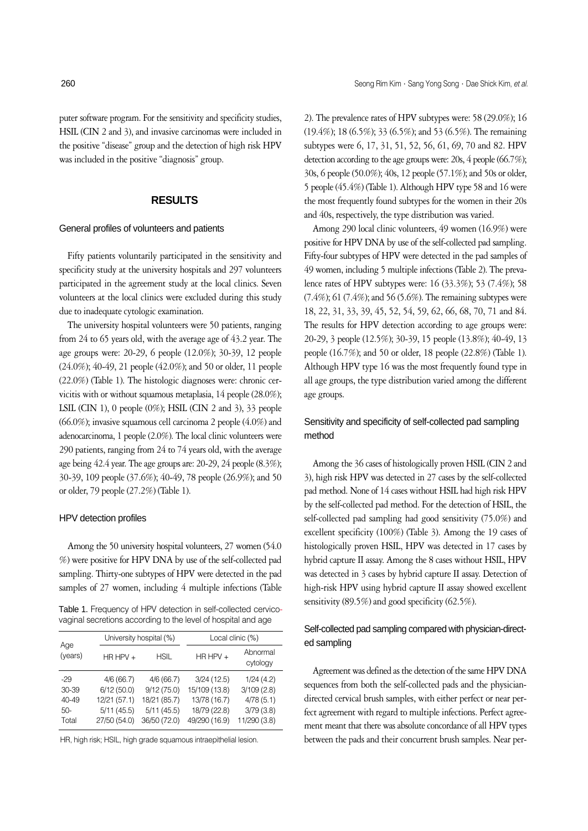puter software program. For the sensitivity and specificity studies, HSIL (CIN 2 and 3), and invasive carcinomas were included in the positive "disease" group and the detection of high risk HPV was included in the positive "diagnosis" group.

## **RESULTS**

#### General profiles of volunteers and patients

Fifty patients voluntarily participated in the sensitivity and specificity study at the university hospitals and 297 volunteers participated in the agreement study at the local clinics. Seven volunteers at the local clinics were excluded during this study due to inadequate cytologic examination.

The university hospital volunteers were 50 patients, ranging from 24 to 65 years old, with the average age of 43.2 year. The age groups were: 20-29, 6 people (12.0%); 30-39, 12 people (24.0%); 40-49, 21 people (42.0%); and 50 or older, 11 people (22.0%) (Table 1). The histologic diagnoses were: chronic cervicitis with or without squamous metaplasia, 14 people (28.0%); LSIL (CIN 1), 0 people  $(0\%)$ ; HSIL (CIN 2 and 3), 33 people (66.0%); invasive squamous cell carcinoma 2 people (4.0%) and adenocarcinoma, 1 people (2.0%). The local clinic volunteers were 290 patients, ranging from 24 to 74 years old, with the average age being 42.4 year. The age groups are: 20-29, 24 people (8.3%); 30-39, 109 people (37.6%); 40-49, 78 people (26.9%); and 50 or older, 79 people (27.2%) (Table 1).

#### HPV detection profiles

Among the 50 university hospital volunteers, 27 women (54.0 %) were positive for HPV DNA by use of the self-collected pad sampling. Thirty-one subtypes of HPV were detected in the pad samples of 27 women, including 4 multiple infections (Table

Table 1. Frequency of HPV detection in self-collected cervicovaginal secretions according to the level of hospital and age

| Age<br>(years) |              | University hospital (%) | Local clinic (%) |                      |  |
|----------------|--------------|-------------------------|------------------|----------------------|--|
|                | $HR HPV +$   | HSIL                    | $HR$ HPV +       | Abnormal<br>cytology |  |
| -29            | 4/6(66.7)    | 4/6(66.7)               | 3/24(12.5)       | 1/24(4.2)            |  |
| 30-39          | 6/12(50.0)   | 9/12(75.0)              | 15/109 (13.8)    | 3/109(2.8)           |  |
| $40 - 49$      | 12/21 (57.1) | 18/21 (85.7)            | 13/78 (16.7)     | 4/78(5.1)            |  |
| $50-$          | 5/11(45.5)   | 5/11(45.5)              | 18/79 (22.8)     | 3/79(3.8)            |  |
| Total          | 27/50 (54.0) | 36/50 (72.0)            | 49/290 (16.9)    | 11/290 (3.8)         |  |

HR, high risk; HSIL, high grade squamous intraepithelial lesion.

2). The prevalence rates of HPV subtypes were: 58 (29.0%); 16 (19.4%); 18 (6.5%); 33 (6.5%); and 53 (6.5%). The remaining subtypes were 6, 17, 31, 51, 52, 56, 61, 69, 70 and 82. HPV detection according to the age groups were: 20s, 4 people (66.7%); 30s, 6 people (50.0%); 40s, 12 people (57.1%); and 50s or older, 5 people (45.4%) (Table 1). Although HPV type 58 and 16 were the most frequently found subtypes for the women in their 20s and 40s, respectively, the type distribution was varied.

Among 290 local clinic volunteers, 49 women (16.9%) were positive for HPV DNA by use of the self-collected pad sampling. Fifty-four subtypes of HPV were detected in the pad samples of 49 women, including 5 multiple infections (Table 2). The prevalence rates of HPV subtypes were: 16 (33.3%); 53 (7.4%); 58 (7.4%); 61 (7.4%); and 56 (5.6%). The remaining subtypes were 18, 22, 31, 33, 39, 45, 52, 54, 59, 62, 66, 68, 70, 71 and 84. The results for HPV detection according to age groups were: 20-29, 3 people (12.5%); 30-39, 15 people (13.8%); 40-49, 13 people (16.7%); and 50 or older, 18 people (22.8%) (Table 1). Although HPV type 16 was the most frequently found type in all age groups, the type distribution varied among the different age groups.

# Sensitivity and specificity of self-collected pad sampling method

Among the 36 cases of histologically proven HSIL (CIN 2 and 3), high risk HPV was detected in 27 cases by the self-collected pad method. None of 14 cases without HSIL had high risk HPV by the self-collected pad method. For the detection of HSIL, the self-collected pad sampling had good sensitivity (75.0%) and excellent specificity (100%) (Table 3). Among the 19 cases of histologically proven HSIL, HPV was detected in 17 cases by hybrid capture II assay. Among the 8 cases without HSIL, HPV was detected in 3 cases by hybrid capture II assay. Detection of high-risk HPV using hybrid capture II assay showed excellent sensitivity (89.5%) and good specificity (62.5%).

## Self-collected pad sampling compared with physician-directed sampling

Agreement was defined as the detection of the same HPV DNA sequences from both the self-collected pads and the physiciandirected cervical brush samples, with either perfect or near perfect agreement with regard to multiple infections. Perfect agreement meant that there was absolute concordance of all HPV types between the pads and their concurrent brush samples. Near per-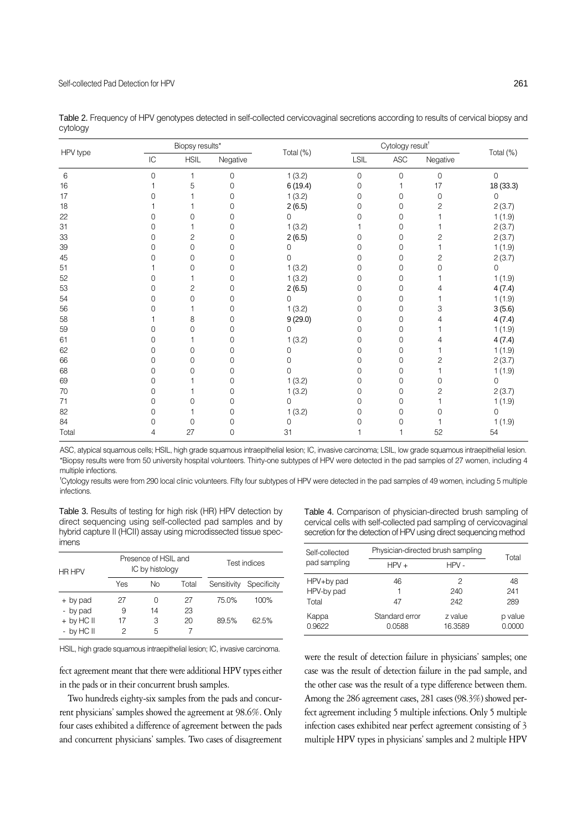|          |    | Biopsy results* |                |           | Cytology result <sup>t</sup> |                |             |                |
|----------|----|-----------------|----------------|-----------|------------------------------|----------------|-------------|----------------|
| HPV type | IC | <b>HSIL</b>     | Negative       | Total (%) | LSIL                         | $\mathsf{ASC}$ | Negative    | Total (%)      |
| 6        | 0  | 1               | $\mathbf 0$    | 1(3.2)    | $\mathbf 0$                  | $\mathbf 0$    | $\mathbf 0$ | $\overline{0}$ |
| 16       |    | 5               | 0              | 6(19.4)   | 0                            |                | 17          | 18 (33.3)      |
| 17       | N  |                 | 0              | 1(3.2)    | 0                            | 0              | 0           | 0              |
| 18       |    |                 | 0              | 2(6.5)    | 0                            | 0              | 2           | 2(3.7)         |
| 22       | O  | $\Omega$        | 0              | O         | 0                            | 0              |             | 1(1.9)         |
| 31       | 0  |                 | 0              | 1(3.2)    |                              | 0              |             | 2(3.7)         |
| 33       | 0  | 2               | 0              | 2(6.5)    | 0                            | 0              | 2           | 2(3.7)         |
| 39       | 0  | $\overline{0}$  | 0              | $\Omega$  | 0                            | 0              |             | 1(1.9)         |
| 45       | O  | 0               | 0              | ∩         | 0                            | 0              | 2           | 2(3.7)         |
| 51       |    | 0               | 0              | 1(3.2)    | 0                            | 0              | 0           | 0              |
| 52       | 0  |                 | 0              | 1(3.2)    | 0                            | 0              |             | 1(1.9)         |
| 53       | 0  | $\overline{c}$  | 0              | 2(6.5)    | 0                            | 0              |             | 4(7.4)         |
| 54       | 0  | 0               | 0              | $\Omega$  | 0                            | 0              |             | 1(1.9)         |
| 56       | O  |                 | 0              | 1(3.2)    | 0                            | 0              | 3           | 3(5.6)         |
| 58       |    | 8               | 0              | 9(29.0)   | 0                            | 0              |             | 4(7.4)         |
| 59       | 0  | $\Omega$        | 0              | O         | 0                            | 0              |             | 1(1.9)         |
| 61       | 0  |                 | 0              | 1(3.2)    | 0                            | 0              |             | 4(7.4)         |
| 62       | 0  | 0               | $\Omega$       | ∩         | 0                            | 0              |             | 1(1.9)         |
| 66       | 0  | 0               | 0              |           | 0                            | 0              | 2           | 2(3.7)         |
| 68       | 0  | $\Omega$        | 0              | ∩         | 0                            | 0              |             | 1(1.9)         |
| 69       | 0  |                 | 0              | 1(3.2)    | 0                            | 0              | 0           | 0              |
| 70       | O  |                 | 0              | 1(3.2)    | 0                            | 0              | 2           | 2(3.7)         |
| 71       | 0  | 0               | 0              | O         | 0                            | 0              |             | 1(1.9)         |
| 82       | 0  |                 | 0              | 1(3.2)    | 0                            | 0              | 0           | 0              |
| 84       | 0  | 0               | 0              | $\Omega$  | Ω                            | 0              |             | 1(1.9)         |
| Total    | 4  | 27              | $\overline{0}$ | 31        |                              |                | 52          | 54             |

Table 2. Frequency of HPV genotypes detected in self-collected cervicovaginal secretions according to results of cervical biopsy and cytology

ASC, atypical squamous cells; HSIL, high grade squamous intraepithelial lesion; IC, invasive carcinoma; LSIL, low grade squamous intraepithelial lesion. \*Biopsy results were from 50 university hospital volunteers. Thirty-one subtypes of HPV were detected in the pad samples of 27 women, including 4 multiple infections.

� Cytology results were from 290 local clinic volunteers. Fifty four subtypes of HPV were detected in the pad samples of 49 women, including 5 multiple infections.

Table 3. Results of testing for high risk (HR) HPV detection by direct sequencing using self-collected pad samples and by hybrid capture II (HCII) assay using microdissected tissue specimens

| HR HPV       | Presence of HSIL and<br>IC by histology |    |       | Test indices |             |
|--------------|-----------------------------------------|----|-------|--------------|-------------|
|              | Yes                                     | Νo | Total | Sensitivity  | Specificity |
| + by pad     | 27                                      | Ω  | 27    | 75.0%        | 100%        |
| - by pad     | 9                                       | 14 | 23    |              |             |
| $+$ by HC II | 17                                      | З  | 20    | 89.5%        | 62.5%       |
| - by HC II   | 2                                       | 5  |       |              |             |

HSIL, high grade squamous intraepithelial lesion; IC, invasive carcinoma.

fect agreement meant that there were additional HPV types either in the pads or in their concurrent brush samples.

Two hundreds eighty-six samples from the pads and concurrent physicians' samples showed the agreement at 98.6%. Only four cases exhibited a difference of agreement between the pads and concurrent physicians' samples. Two cases of disagreement Table 4. Comparison of physician-directed brush sampling of cervical cells with self-collected pad sampling of cervicovaginal secretion for the detection of HPV using direct sequencing method

| Self-collected                    |                          | Physician-directed brush sampling |                   |  |
|-----------------------------------|--------------------------|-----------------------------------|-------------------|--|
| pad sampling                      | $HPV +$                  | $HPV -$                           | Total             |  |
| HPV+by pad<br>HPV-by pad<br>Total | 46<br>47                 | 2<br>240<br>242                   | 48<br>241<br>289  |  |
| Kappa<br>0.9622                   | Standard error<br>0.0588 | z value<br>16.3589                | p value<br>0.0000 |  |

were the result of detection failure in physicians' samples; one case was the result of detection failure in the pad sample, and the other case was the result of a type difference between them. Among the 286 agreement cases, 281 cases (98.3%) showed perfect agreement including 5 multiple infections. Only 5 multiple infection cases exhibited near perfect agreement consisting of 3 multiple HPV types in physicians' samples and 2 multiple HPV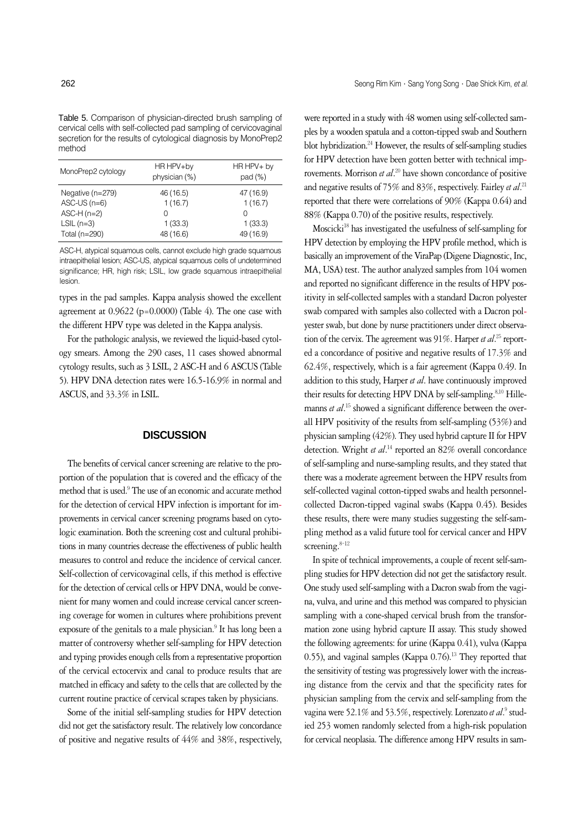| MonoPrep2 cytology | HR HPV+by<br>physician (%) | HR HPV+ by<br>pad(%) |  |
|--------------------|----------------------------|----------------------|--|
| Negative (n=279)   | 46 (16.5)                  | 47 (16.9)            |  |
| $ASC$ -US $(n=6)$  | 1(16.7)                    | 1(16.7)              |  |
| $ASC-H (n=2)$      | $\Omega$                   | $\bigcap$            |  |
| $LSIL(n=3)$        | 1(33.3)                    | 1(33.3)              |  |
| Total (n=290)      | 48 (16.6)                  | 49 (16.9)            |  |

ASC-H, atypical squamous cells, cannot exclude high grade squamous intraepithelial lesion; ASC-US, atypical squamous cells of undetermined significance; HR, high risk; LSIL, low grade squamous intraepithelial lesion.

types in the pad samples. Kappa analysis showed the excellent agreement at 0.9622 (p=0.0000) (Table 4). The one case with the different HPV type was deleted in the Kappa analysis.

For the pathologic analysis, we reviewed the liquid-based cytology smears. Among the 290 cases, 11 cases showed abnormal cytology results, such as 3 LSIL, 2 ASC-H and 6 ASCUS (Table 5). HPV DNA detection rates were 16.5-16.9% in normal and ASCUS, and 33.3% in LSIL.

### **DISCUSSION**

The benefits of cervical cancer screening are relative to the proportion of the population that is covered and the efficacy of the method that is used.<sup>9</sup> The use of an economic and accurate method for the detection of cervical HPV infection is important for improvements in cervical cancer screening programs based on cytologic examination. Both the screening cost and cultural prohibitions in many countries decrease the effectiveness of public health measures to control and reduce the incidence of cervical cancer. Self-collection of cervicovaginal cells, if this method is effective for the detection of cervical cells or HPV DNA, would be convenient for many women and could increase cervical cancer screening coverage for women in cultures where prohibitions prevent exposure of the genitals to a male physician.<sup>9</sup> It has long been a matter of controversy whether self-sampling for HPV detection and typing provides enough cells from a representative proportion of the cervical ectocervix and canal to produce results that are matched in efficacy and safety to the cells that are collected by the current routine practice of cervical scrapes taken by physicians.

Some of the initial self-sampling studies for HPV detection did not get the satisfactory result. The relatively low concordance of positive and negative results of 44% and 38%, respectively, were reported in a study with 48 women using self-collected samples by a wooden spatula and a cotton-tipped swab and Southern blot hybridization.<sup>24</sup> However, the results of self-sampling studies for HPV detection have been gotten better with technical improvements. Morrison *et al*. <sup>20</sup> have shown concordance of positive and negative results of 75% and 83%, respectively. Fairley *et al*. 21 reported that there were correlations of 90% (Kappa 0.64) and 88% (Kappa 0.70) of the positive results, respectively.

Moscicki<sup>18</sup> has investigated the usefulness of self-sampling for HPV detection by employing the HPV profile method, which is basically an improvement of the ViraPap (Digene Diagnostic, Inc, MA, USA) test. The author analyzed samples from 104 women and reported no significant difference in the results of HPV positivity in self-collected samples with a standard Dacron polyester swab compared with samples also collected with a Dacron polyester swab, but done by nurse practitioners under direct observation of the cervix. The agreement was 91%. Harper *et al*. <sup>25</sup> reported a concordance of positive and negative results of 17.3% and 62.4%, respectively, which is a fair agreement (Kappa 0.49. In addition to this study, Harper *et al*. have continuously improved their results for detecting HPV DNA by self-sampling.<sup>8,10</sup> Hillemanns *et al*. <sup>15</sup> showed a significant difference between the overall HPV positivity of the results from self-sampling (53%) and physician sampling (42%). They used hybrid capture II for HPV detection. Wright *et al*. <sup>14</sup> reported an 82% overall concordance of self-sampling and nurse-sampling results, and they stated that there was a moderate agreement between the HPV results from self-collected vaginal cotton-tipped swabs and health personnelcollected Dacron-tipped vaginal swabs (Kappa 0.45). Besides these results, there were many studies suggesting the self-sampling method as a valid future tool for cervical cancer and HPV screening. $8-12$ 

In spite of technical improvements, a couple of recent self-sampling studies for HPV detection did not get the satisfactory result. One study used self-sampling with a Dacron swab from the vagina, vulva, and urine and this method was compared to physician sampling with a cone-shaped cervical brush from the transformation zone using hybrid capture II assay. This study showed the following agreements: for urine (Kappa 0.41), vulva (Kappa 0.55), and vaginal samples (Kappa  $0.76$ ).<sup>13</sup> They reported that the sensitivity of testing was progressively lower with the increasing distance from the cervix and that the specificity rates for physician sampling from the cervix and self-sampling from the vagina were 52.1% and 53.5%, respectively. Lorenzato *et al.*<sup>9</sup> studied 253 women randomly selected from a high-risk population for cervical neoplasia. The difference among HPV results in sam-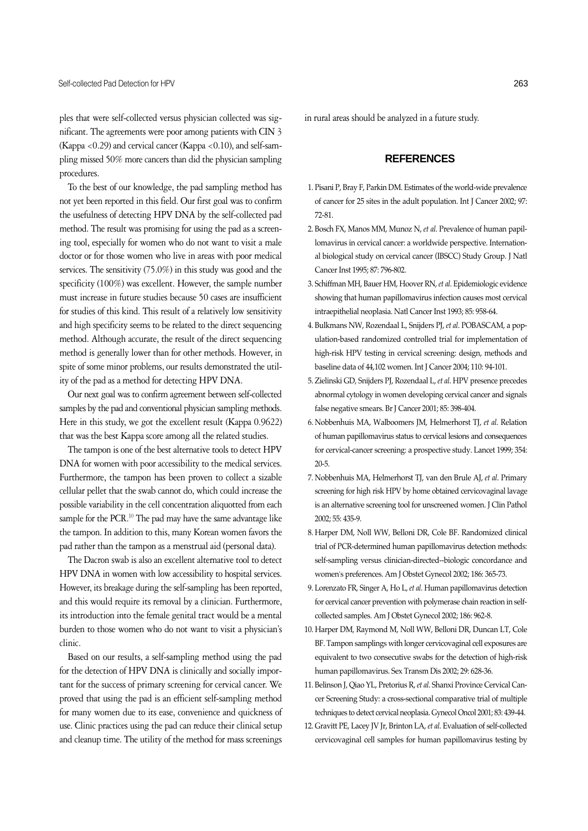ples that were self-collected versus physician collected was significant. The agreements were poor among patients with CIN 3 (Kappa <0.29) and cervical cancer (Kappa <0.10), and self-sampling missed 50% more cancers than did the physician sampling procedures.

To the best of our knowledge, the pad sampling method has not yet been reported in this field. Our first goal was to confirm the usefulness of detecting HPV DNA by the self-collected pad method. The result was promising for using the pad as a screening tool, especially for women who do not want to visit a male doctor or for those women who live in areas with poor medical services. The sensitivity (75.0%) in this study was good and the specificity (100%) was excellent. However, the sample number must increase in future studies because 50 cases are insufficient for studies of this kind. This result of a relatively low sensitivity and high specificity seems to be related to the direct sequencing method. Although accurate, the result of the direct sequencing method is generally lower than for other methods. However, in spite of some minor problems, our results demonstrated the utility of the pad as a method for detecting HPV DNA.

Our next goal was to confirm agreement between self-collected samples by the pad and conventional physician sampling methods. Here in this study, we got the excellent result (Kappa 0.9622) that was the best Kappa score among all the related studies.

The tampon is one of the best alternative tools to detect HPV DNA for women with poor accessibility to the medical services. Furthermore, the tampon has been proven to collect a sizable cellular pellet that the swab cannot do, which could increase the possible variability in the cell concentration aliquotted from each sample for the PCR.<sup>10</sup> The pad may have the same advantage like the tampon. In addition to this, many Korean women favors the pad rather than the tampon as a menstrual aid (personal data).

The Dacron swab is also an excellent alternative tool to detect HPV DNA in women with low accessibility to hospital services. However, its breakage during the self-sampling has been reported, and this would require its removal by a clinician. Furthermore, its introduction into the female genital tract would be a mental burden to those women who do not want to visit a physician's clinic.

Based on our results, a self-sampling method using the pad for the detection of HPV DNA is clinically and socially important for the success of primary screening for cervical cancer. We proved that using the pad is an efficient self-sampling method for many women due to its ease, convenience and quickness of use. Clinic practices using the pad can reduce their clinical setup and cleanup time. The utility of the method for mass screenings

in rural areas should be analyzed in a future study.

## **REFERENCES**

- 1. Pisani P, Bray F, Parkin DM. Estimates of the world-wide prevalence of cancer for 25 sites in the adult population. Int J Cancer 2002; 97: 72-81.
- 2. Bosch FX, Manos MM, Munoz N, *et al*. Prevalence of human papillomavirus in cervical cancer: a worldwide perspective. International biological study on cervical cancer (IBSCC) Study Group. J Natl Cancer Inst 1995; 87: 796-802.
- 3. Schiffman MH, Bauer HM, Hoover RN, *et al*. Epidemiologic evidence showing that human papillomavirus infection causes most cervical intraepithelial neoplasia. Natl Cancer Inst 1993; 85: 958-64.
- 4. Bulkmans NW, Rozendaal L, Snijders PJ, *et al*. POBASCAM, a population-based randomized controlled trial for implementation of high-risk HPV testing in cervical screening: design, methods and baseline data of 44,102 women. Int J Cancer 2004; 110: 94-101.
- 5. Zielinski GD, Snijders PJ, Rozendaal L, *et al*. HPV presence precedes abnormal cytology in women developing cervical cancer and signals false negative smears. Br J Cancer 2001; 85: 398-404.
- 6. Nobbenhuis MA, Walboomers JM, Helmerhorst TJ, *et al*. Relation of human papillomavirus status to cervical lesions and consequences for cervical-cancer screening: a prospective study. Lancet 1999; 354: 20-5.
- 7. Nobbenhuis MA, Helmerhorst TJ, van den Brule AJ, *et al*. Primary screening for high risk HPV by home obtained cervicovaginal lavage is an alternative screening tool for unscreened women. J Clin Pathol 2002; 55: 435-9.
- 8. Harper DM, Noll WW, Belloni DR, Cole BF. Randomized clinical trial of PCR-determined human papillomavirus detection methods: self-sampling versus clinician-directed--biologic concordance and women's preferences. Am J Obstet Gynecol 2002; 186: 365-73.
- 9. Lorenzato FR, Singer A, Ho L, *et al*. Human papillomavirus detection for cervical cancer prevention with polymerase chain reaction in selfcollected samples. Am J Obstet Gynecol 2002; 186: 962-8.
- 10. Harper DM, Raymond M, Noll WW, Belloni DR, Duncan LT, Cole BF. Tampon samplings with longer cervicovaginal cell exposures are equivalent to two consecutive swabs for the detection of high-risk human papillomavirus. Sex Transm Dis 2002; 29: 628-36.
- 11. Belinson J, Qiao YL, Pretorius R, *et al*. Shanxi Province Cervical Cancer Screening Study: a cross-sectional comparative trial of multiple techniques to detect cervical neoplasia. Gynecol Oncol 2001; 83: 439-44.
- 12. Gravitt PE, Lacey JV Jr, Brinton LA, *et al*. Evaluation of self-collected cervicovaginal cell samples for human papillomavirus testing by